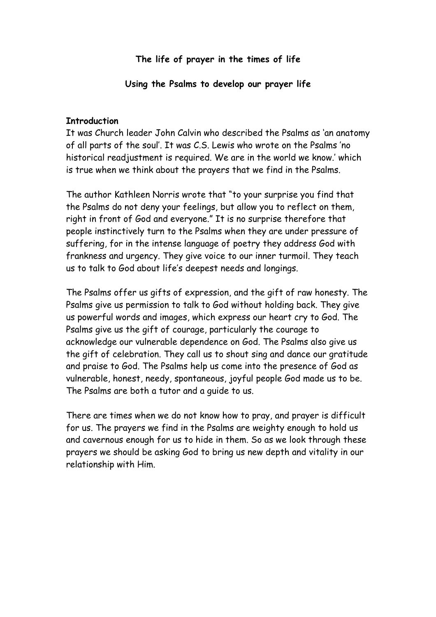**The life of prayer in the times of life**

**Using the Psalms to develop our prayer life**

#### **Introduction**

It was Church leader John Calvin who described the Psalms as 'an anatomy of all parts of the soul'. It was C.S. Lewis who wrote on the Psalms 'no historical readjustment is required. We are in the world we know.' which is true when we think about the prayers that we find in the Psalms.

The author Kathleen Norris wrote that "to your surprise you find that the Psalms do not deny your feelings, but allow you to reflect on them, right in front of God and everyone." It is no surprise therefore that people instinctively turn to the Psalms when they are under pressure of suffering, for in the intense language of poetry they address God with frankness and urgency. They give voice to our inner turmoil. They teach us to talk to God about life's deepest needs and longings.

The Psalms offer us gifts of expression, and the gift of raw honesty. The Psalms give us permission to talk to God without holding back. They give us powerful words and images, which express our heart cry to God. The Psalms give us the gift of courage, particularly the courage to acknowledge our vulnerable dependence on God. The Psalms also give us the gift of celebration. They call us to shout sing and dance our gratitude and praise to God. The Psalms help us come into the presence of God as vulnerable, honest, needy, spontaneous, joyful people God made us to be. The Psalms are both a tutor and a guide to us.

There are times when we do not know how to pray, and prayer is difficult for us. The prayers we find in the Psalms are weighty enough to hold us and cavernous enough for us to hide in them. So as we look through these prayers we should be asking God to bring us new depth and vitality in our relationship with Him.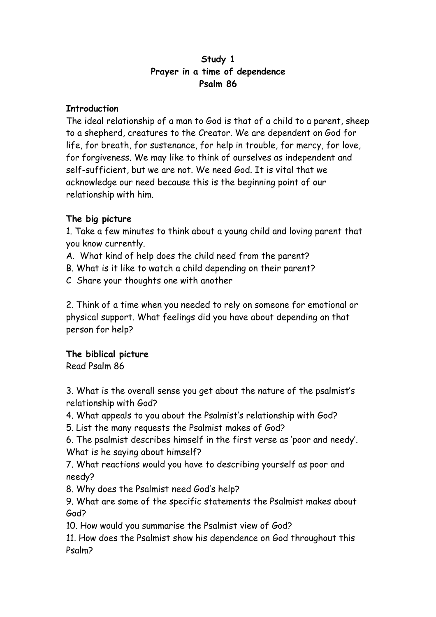### **Study 1 Prayer in a time of dependence Psalm 86**

### **Introduction**

The ideal relationship of a man to God is that of a child to a parent, sheep to a shepherd, creatures to the Creator. We are dependent on God for life, for breath, for sustenance, for help in trouble, for mercy, for love, for forgiveness. We may like to think of ourselves as independent and self-sufficient, but we are not. We need God. It is vital that we acknowledge our need because this is the beginning point of our relationship with him.

# **The big picture**

1. Take a few minutes to think about a young child and loving parent that you know currently.

- A. What kind of help does the child need from the parent?
- B. What is it like to watch a child depending on their parent?
- C Share your thoughts one with another

2. Think of a time when you needed to rely on someone for emotional or physical support. What feelings did you have about depending on that person for help?

# **The biblical picture**

Read Psalm 86

3. What is the overall sense you get about the nature of the psalmist's relationship with God?

4. What appeals to you about the Psalmist's relationship with God?

5. List the many requests the Psalmist makes of God?

6. The psalmist describes himself in the first verse as 'poor and needy'. What is he saying about himself?

7. What reactions would you have to describing yourself as poor and needy?

8. Why does the Psalmist need God's help?

9. What are some of the specific statements the Psalmist makes about God?

10. How would you summarise the Psalmist view of God?

11. How does the Psalmist show his dependence on God throughout this Psalm?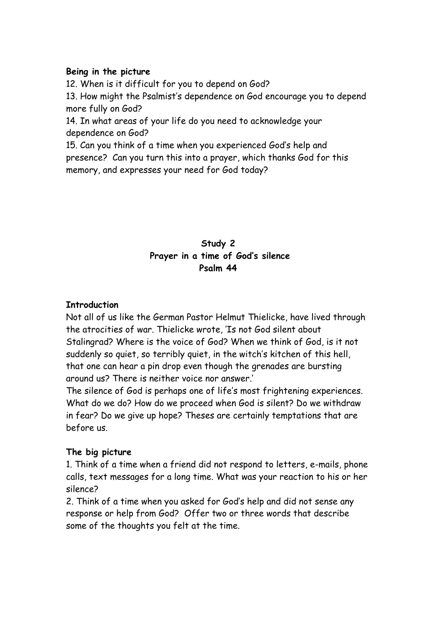#### **Being in the picture**

12. When is it difficult for you to depend on God?

13. How might the Psalmist's dependence on God encourage you to depend more fully on God?

14. In what areas of your life do you need to acknowledge your dependence on God?

15. Can you think of a time when you experienced God's help and presence? Can you turn this into a prayer, which thanks God for this memory, and expresses your need for God today?

# **Study 2 Prayer in a time of God's silence Psalm 44**

# **Introduction**

Not all of us like the German Pastor Helmut Thielicke, have lived through the atrocities of war. Thielicke wrote, 'Is not God silent about Stalingrad? Where is the voice of God? When we think of God, is it not suddenly so quiet, so terribly quiet, in the witch's kitchen of this hell, that one can hear a pin drop even though the grenades are bursting around us? There is neither voice nor answer.'

The silence of God is perhaps one of life's most frightening experiences. What do we do? How do we proceed when God is silent? Do we withdraw in fear? Do we give up hope? Theses are certainly temptations that are before us.

# **The big picture**

1. Think of a time when a friend did not respond to letters, e-mails, phone calls, text messages for a long time. What was your reaction to his or her silence?

2. Think of a time when you asked for God's help and did not sense any response or help from God? Offer two or three words that describe some of the thoughts you felt at the time.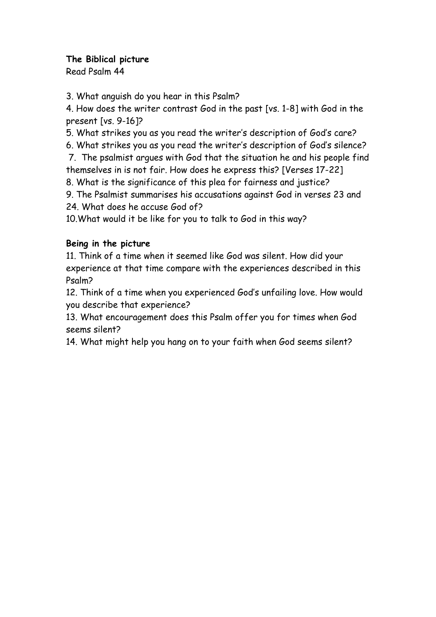### **The Biblical picture**

Read Psalm 44

3. What anguish do you hear in this Psalm?

4. How does the writer contrast God in the past [vs. 1-8] with God in the present [vs. 9-16]?

5. What strikes you as you read the writer's description of God's care?

6. What strikes you as you read the writer's description of God's silence?

 7. The psalmist argues with God that the situation he and his people find themselves in is not fair. How does he express this? [Verses 17-22]

8. What is the significance of this plea for fairness and justice?

9. The Psalmist summarises his accusations against God in verses 23 and 24. What does he accuse God of?

10.What would it be like for you to talk to God in this way?

# **Being in the picture**

11. Think of a time when it seemed like God was silent. How did your experience at that time compare with the experiences described in this Psalm?

12. Think of a time when you experienced God's unfailing love. How would you describe that experience?

13. What encouragement does this Psalm offer you for times when God seems silent?

14. What might help you hang on to your faith when God seems silent?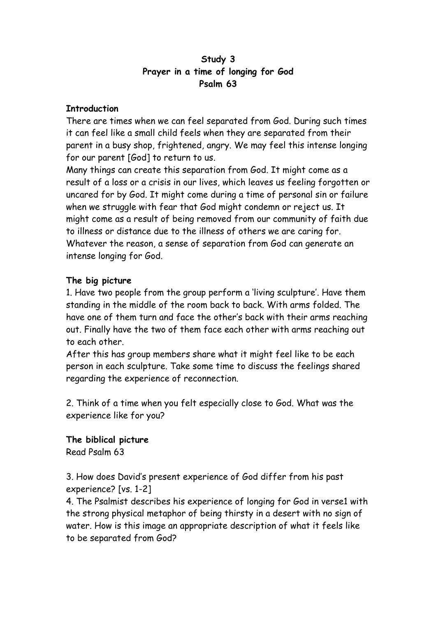## **Study 3 Prayer in a time of longing for God Psalm 63**

### **Introduction**

There are times when we can feel separated from God. During such times it can feel like a small child feels when they are separated from their parent in a busy shop, frightened, angry. We may feel this intense longing for our parent [God] to return to us.

Many things can create this separation from God. It might come as a result of a loss or a crisis in our lives, which leaves us feeling forgotten or uncared for by God. It might come during a time of personal sin or failure when we struggle with fear that God might condemn or reject us. It might come as a result of being removed from our community of faith due to illness or distance due to the illness of others we are caring for. Whatever the reason, a sense of separation from God can generate an intense longing for God.

# **The big picture**

1. Have two people from the group perform a 'living sculpture'. Have them standing in the middle of the room back to back. With arms folded. The have one of them turn and face the other's back with their arms reaching out. Finally have the two of them face each other with arms reaching out to each other.

After this has group members share what it might feel like to be each person in each sculpture. Take some time to discuss the feelings shared regarding the experience of reconnection.

2. Think of a time when you felt especially close to God. What was the experience like for you?

**The biblical picture** Read Psalm 63

3. How does David's present experience of God differ from his past experience? [vs. 1-2]

4. The Psalmist describes his experience of longing for God in verse1 with the strong physical metaphor of being thirsty in a desert with no sign of water. How is this image an appropriate description of what it feels like to be separated from God?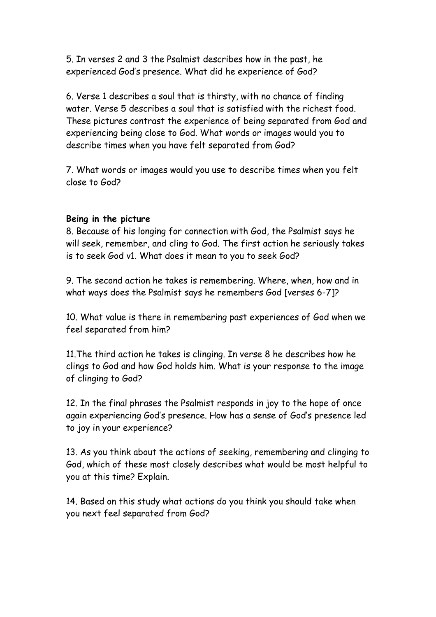5. In verses 2 and 3 the Psalmist describes how in the past, he experienced God's presence. What did he experience of God?

6. Verse 1 describes a soul that is thirsty, with no chance of finding water. Verse 5 describes a soul that is satisfied with the richest food. These pictures contrast the experience of being separated from God and experiencing being close to God. What words or images would you to describe times when you have felt separated from God?

7. What words or images would you use to describe times when you felt close to God?

#### **Being in the picture**

8. Because of his longing for connection with God, the Psalmist says he will seek, remember, and cling to God. The first action he seriously takes is to seek God v1. What does it mean to you to seek God?

9. The second action he takes is remembering. Where, when, how and in what ways does the Psalmist says he remembers God [verses 6-7]?

10. What value is there in remembering past experiences of God when we feel separated from him?

11.The third action he takes is clinging. In verse 8 he describes how he clings to God and how God holds him. What is your response to the image of clinging to God?

12. In the final phrases the Psalmist responds in joy to the hope of once again experiencing God's presence. How has a sense of God's presence led to joy in your experience?

13. As you think about the actions of seeking, remembering and clinging to God, which of these most closely describes what would be most helpful to you at this time? Explain.

14. Based on this study what actions do you think you should take when you next feel separated from God?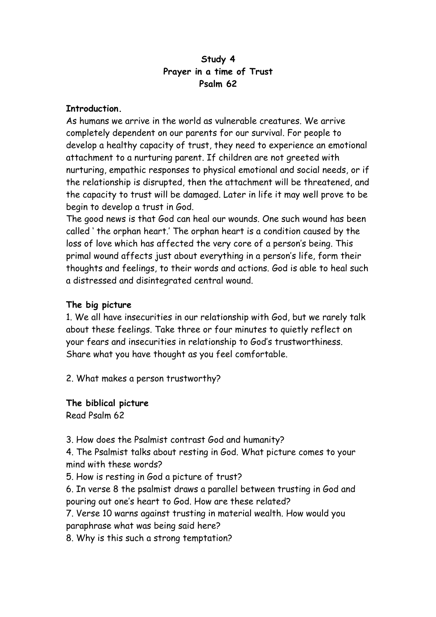### **Study 4 Prayer in a time of Trust Psalm 62**

### **Introduction.**

As humans we arrive in the world as vulnerable creatures. We arrive completely dependent on our parents for our survival. For people to develop a healthy capacity of trust, they need to experience an emotional attachment to a nurturing parent. If children are not greeted with nurturing, empathic responses to physical emotional and social needs, or if the relationship is disrupted, then the attachment will be threatened, and the capacity to trust will be damaged. Later in life it may well prove to be begin to develop a trust in God.

The good news is that God can heal our wounds. One such wound has been called ' the orphan heart.' The orphan heart is a condition caused by the loss of love which has affected the very core of a person's being. This primal wound affects just about everything in a person's life, form their thoughts and feelings, to their words and actions. God is able to heal such a distressed and disintegrated central wound.

# **The big picture**

1. We all have insecurities in our relationship with God, but we rarely talk about these feelings. Take three or four minutes to quietly reflect on your fears and insecurities in relationship to God's trustworthiness. Share what you have thought as you feel comfortable.

2. What makes a person trustworthy?

**The biblical picture** Read Psalm 62

3. How does the Psalmist contrast God and humanity?

4. The Psalmist talks about resting in God. What picture comes to your mind with these words?

5. How is resting in God a picture of trust?

6. In verse 8 the psalmist draws a parallel between trusting in God and pouring out one's heart to God. How are these related?

7. Verse 10 warns against trusting in material wealth. How would you paraphrase what was being said here?

8. Why is this such a strong temptation?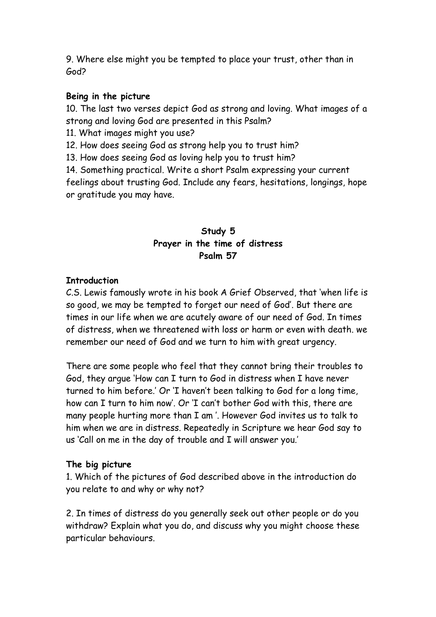9. Where else might you be tempted to place your trust, other than in God?

### **Being in the picture**

10. The last two verses depict God as strong and loving. What images of a strong and loving God are presented in this Psalm?

11. What images might you use?

12. How does seeing God as strong help you to trust him?

13. How does seeing God as loving help you to trust him?

14. Something practical. Write a short Psalm expressing your current feelings about trusting God. Include any fears, hesitations, longings, hope or gratitude you may have.

# **Study 5 Prayer in the time of distress Psalm 57**

### **Introduction**

C.S. Lewis famously wrote in his book A Grief Observed, that 'when life is so good, we may be tempted to forget our need of God'. But there are times in our life when we are acutely aware of our need of God. In times of distress, when we threatened with loss or harm or even with death. we remember our need of God and we turn to him with great urgency.

There are some people who feel that they cannot bring their troubles to God, they argue 'How can I turn to God in distress when I have never turned to him before.' Or 'I haven't been talking to God for a long time, how can I turn to him now'. Or 'I can't bother God with this, there are many people hurting more than I am '. However God invites us to talk to him when we are in distress. Repeatedly in Scripture we hear God say to us 'Call on me in the day of trouble and I will answer you.'

# **The big picture**

1. Which of the pictures of God described above in the introduction do you relate to and why or why not?

2. In times of distress do you generally seek out other people or do you withdraw? Explain what you do, and discuss why you might choose these particular behaviours.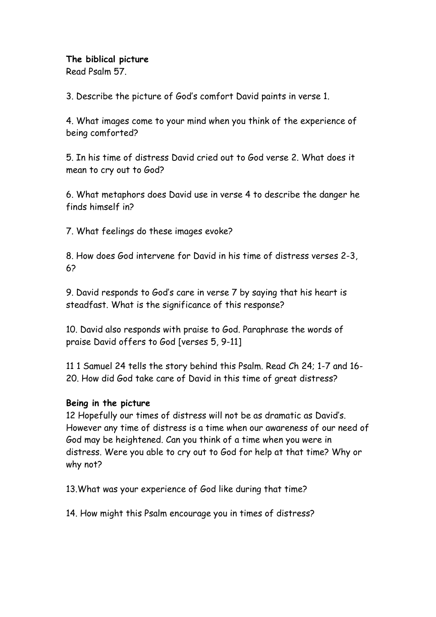### **The biblical picture**

Read Psalm 57.

3. Describe the picture of God's comfort David paints in verse 1.

4. What images come to your mind when you think of the experience of being comforted?

5. In his time of distress David cried out to God verse 2. What does it mean to cry out to God?

6. What metaphors does David use in verse 4 to describe the danger he finds himself in?

7. What feelings do these images evoke?

8. How does God intervene for David in his time of distress verses 2-3, 6?

9. David responds to God's care in verse 7 by saying that his heart is steadfast. What is the significance of this response?

10. David also responds with praise to God. Paraphrase the words of praise David offers to God [verses 5, 9-11]

11 1 Samuel 24 tells the story behind this Psalm. Read Ch 24; 1-7 and 16- 20. How did God take care of David in this time of great distress?

# **Being in the picture**

12 Hopefully our times of distress will not be as dramatic as David's. However any time of distress is a time when our awareness of our need of God may be heightened. Can you think of a time when you were in distress. Were you able to cry out to God for help at that time? Why or why not?

13.What was your experience of God like during that time?

14. How might this Psalm encourage you in times of distress?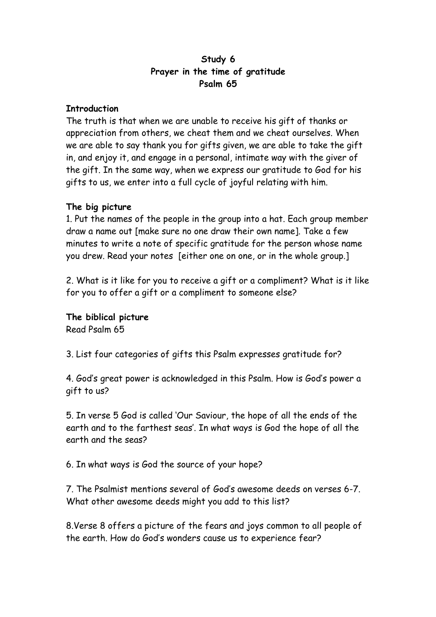### **Study 6 Prayer in the time of gratitude Psalm 65**

### **Introduction**

The truth is that when we are unable to receive his gift of thanks or appreciation from others, we cheat them and we cheat ourselves. When we are able to say thank you for gifts given, we are able to take the gift in, and enjoy it, and engage in a personal, intimate way with the giver of the gift. In the same way, when we express our gratitude to God for his gifts to us, we enter into a full cycle of joyful relating with him.

# **The big picture**

1. Put the names of the people in the group into a hat. Each group member draw a name out [make sure no one draw their own name]. Take a few minutes to write a note of specific gratitude for the person whose name you drew. Read your notes [either one on one, or in the whole group.]

2. What is it like for you to receive a gift or a compliment? What is it like for you to offer a gift or a compliment to someone else?

**The biblical picture** Read Psalm 65

3. List four categories of gifts this Psalm expresses gratitude for?

4. God's great power is acknowledged in this Psalm. How is God's power a gift to us?

5. In verse 5 God is called 'Our Saviour, the hope of all the ends of the earth and to the farthest seas'. In what ways is God the hope of all the earth and the seas?

6. In what ways is God the source of your hope?

7. The Psalmist mentions several of God's awesome deeds on verses 6-7. What other awesome deeds might you add to this list?

8.Verse 8 offers a picture of the fears and joys common to all people of the earth. How do God's wonders cause us to experience fear?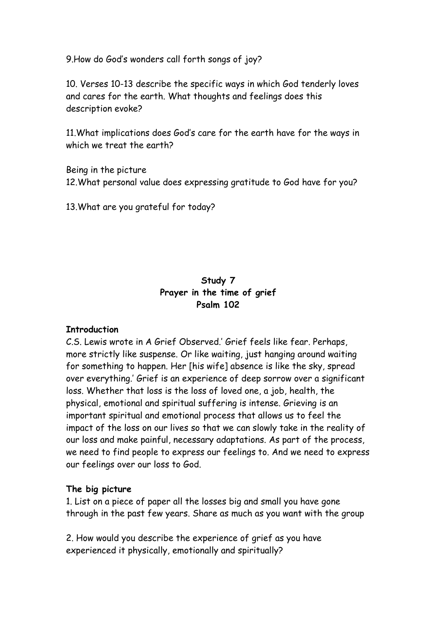9.How do God's wonders call forth songs of joy?

10. Verses 10-13 describe the specific ways in which God tenderly loves and cares for the earth. What thoughts and feelings does this description evoke?

11.What implications does God's care for the earth have for the ways in which we treat the earth?

Being in the picture 12.What personal value does expressing gratitude to God have for you?

13.What are you grateful for today?

# **Study 7 Prayer in the time of grief Psalm 102**

# **Introduction**

C.S. Lewis wrote in A Grief Observed.' Grief feels like fear. Perhaps, more strictly like suspense. Or like waiting, just hanging around waiting for something to happen. Her [his wife] absence is like the sky, spread over everything.' Grief is an experience of deep sorrow over a significant loss. Whether that loss is the loss of loved one, a job, health, the physical, emotional and spiritual suffering is intense. Grieving is an important spiritual and emotional process that allows us to feel the impact of the loss on our lives so that we can slowly take in the reality of our loss and make painful, necessary adaptations. As part of the process, we need to find people to express our feelings to. And we need to express our feelings over our loss to God.

# **The big picture**

1. List on a piece of paper all the losses big and small you have gone through in the past few years. Share as much as you want with the group

2. How would you describe the experience of grief as you have experienced it physically, emotionally and spiritually?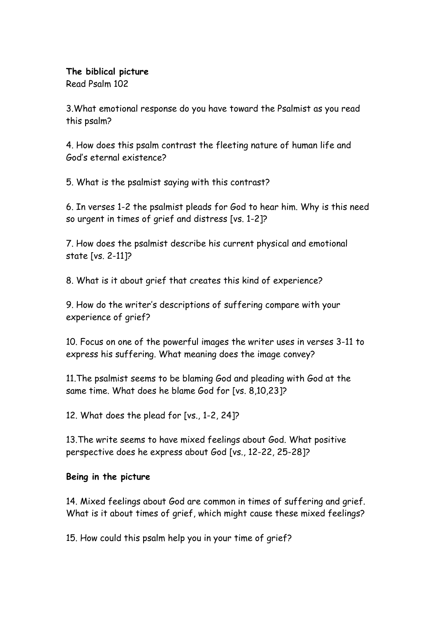# **The biblical picture**

Read Psalm 102

3.What emotional response do you have toward the Psalmist as you read this psalm?

4. How does this psalm contrast the fleeting nature of human life and God's eternal existence?

5. What is the psalmist saying with this contrast?

6. In verses 1-2 the psalmist pleads for God to hear him. Why is this need so urgent in times of grief and distress [vs. 1-2]?

7. How does the psalmist describe his current physical and emotional state [vs. 2-11]?

8. What is it about grief that creates this kind of experience?

9. How do the writer's descriptions of suffering compare with your experience of grief?

10. Focus on one of the powerful images the writer uses in verses 3-11 to express his suffering. What meaning does the image convey?

11.The psalmist seems to be blaming God and pleading with God at the same time. What does he blame God for [vs. 8,10,23]?

12. What does the plead for [vs., 1-2, 24]?

13.The write seems to have mixed feelings about God. What positive perspective does he express about God [vs., 12-22, 25-28]?

# **Being in the picture**

14. Mixed feelings about God are common in times of suffering and grief. What is it about times of grief, which might cause these mixed feelings?

15. How could this psalm help you in your time of grief?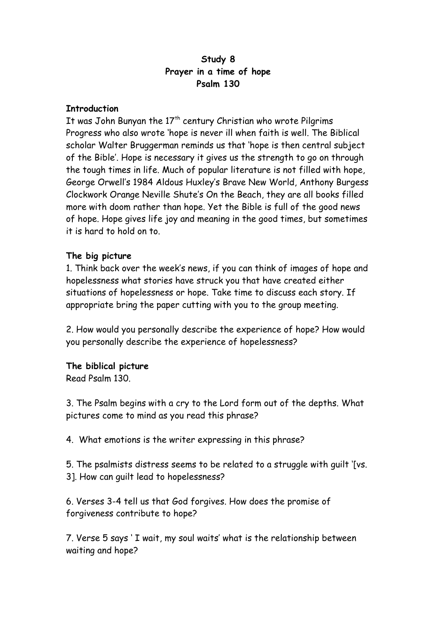### **Study 8 Prayer in a time of hope Psalm 130**

### **Introduction**

It was John Bunyan the  $17<sup>th</sup>$  century Christian who wrote Pilgrims Progress who also wrote 'hope is never ill when faith is well. The Biblical scholar Walter Bruggerman reminds us that 'hope is then central subject of the Bible'. Hope is necessary it gives us the strength to go on through the tough times in life. Much of popular literature is not filled with hope, George Orwell's 1984 Aldous Huxley's Brave New World, Anthony Burgess Clockwork Orange Neville Shute's On the Beach, they are all books filled more with doom rather than hope. Yet the Bible is full of the good news of hope. Hope gives life joy and meaning in the good times, but sometimes it is hard to hold on to.

### **The big picture**

1. Think back over the week's news, if you can think of images of hope and hopelessness what stories have struck you that have created either situations of hopelessness or hope. Take time to discuss each story. If appropriate bring the paper cutting with you to the group meeting.

2. How would you personally describe the experience of hope? How would you personally describe the experience of hopelessness?

#### **The biblical picture**

Read Psalm 130.

3. The Psalm begins with a cry to the Lord form out of the depths. What pictures come to mind as you read this phrase?

4. What emotions is the writer expressing in this phrase?

5. The psalmists distress seems to be related to a struggle with guilt '[vs. 3]. How can guilt lead to hopelessness?

6. Verses 3-4 tell us that God forgives. How does the promise of forgiveness contribute to hope?

7. Verse 5 says ' I wait, my soul waits' what is the relationship between waiting and hope?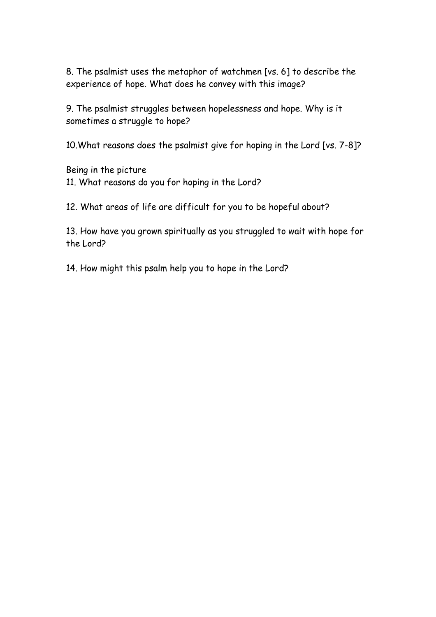8. The psalmist uses the metaphor of watchmen [vs. 6] to describe the experience of hope. What does he convey with this image?

9. The psalmist struggles between hopelessness and hope. Why is it sometimes a struggle to hope?

10.What reasons does the psalmist give for hoping in the Lord [vs. 7-8]?

Being in the picture 11. What reasons do you for hoping in the Lord?

12. What areas of life are difficult for you to be hopeful about?

13. How have you grown spiritually as you struggled to wait with hope for the Lord?

14. How might this psalm help you to hope in the Lord?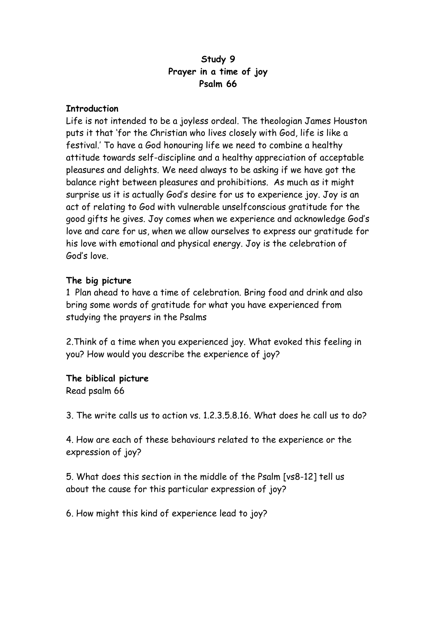### **Study 9 Prayer in a time of joy Psalm 66**

#### **Introduction**

Life is not intended to be a joyless ordeal. The theologian James Houston puts it that 'for the Christian who lives closely with God, life is like a festival.' To have a God honouring life we need to combine a healthy attitude towards self-discipline and a healthy appreciation of acceptable pleasures and delights. We need always to be asking if we have got the balance right between pleasures and prohibitions. As much as it might surprise us it is actually God's desire for us to experience joy. Joy is an act of relating to God with vulnerable unselfconscious gratitude for the good gifts he gives. Joy comes when we experience and acknowledge God's love and care for us, when we allow ourselves to express our gratitude for his love with emotional and physical energy. Joy is the celebration of God's love.

### **The big picture**

1 Plan ahead to have a time of celebration. Bring food and drink and also bring some words of gratitude for what you have experienced from studying the prayers in the Psalms

2.Think of a time when you experienced joy. What evoked this feeling in you? How would you describe the experience of joy?

# **The biblical picture**

Read psalm 66

3. The write calls us to action vs. 1.2.3.5.8.16. What does he call us to do?

4. How are each of these behaviours related to the experience or the expression of joy?

5. What does this section in the middle of the Psalm [vs8-12] tell us about the cause for this particular expression of joy?

6. How might this kind of experience lead to joy?